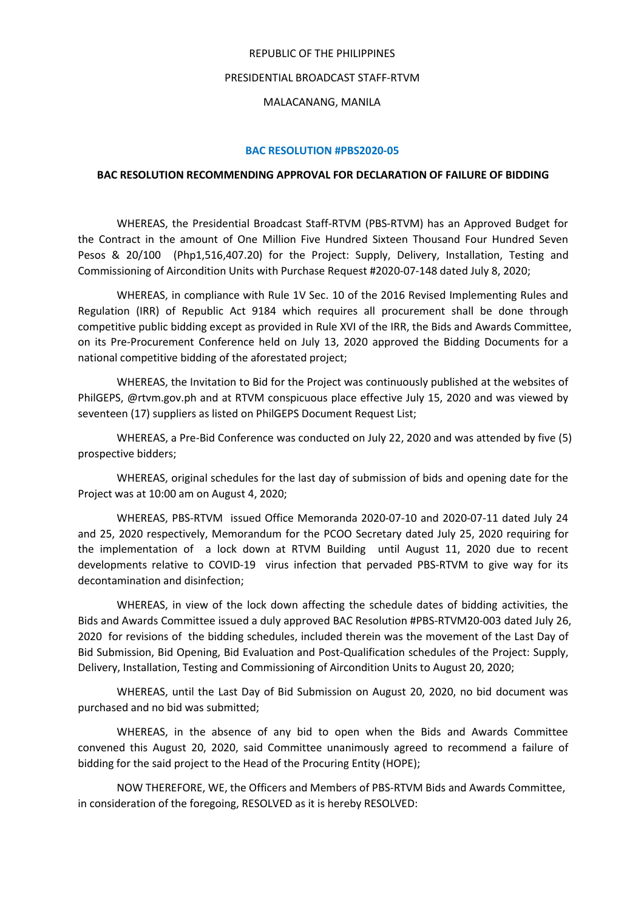### REPUBLIC OF THE PHILIPPINES

## PRESIDENTIAL BROADCAST STAFF-RTVM

# MALACANANG, MANILA

## **BAC RESOLUTION #PBS2020-05**

### **BAC RESOLUTION RECOMMENDING APPROVAL FOR DECLARATION OF FAILURE OF BIDDING**

WHEREAS, the Presidential Broadcast Staff-RTVM (PBS-RTVM) has an Approved Budget for the Contract in the amount of One Million Five Hundred Sixteen Thousand Four Hundred Seven Pesos & 20/100 (Php1,516,407.20) for the Project: Supply, Delivery, Installation, Testing and Commissioning of Aircondition Units with Purchase Request #2020-07-148 dated July 8, 2020;

WHEREAS, in compliance with Rule 1V Sec. 10 of the 2016 Revised Implementing Rules and Regulation (IRR) of Republic Act 9184 which requires all procurement shall be done through competitive public bidding except as provided in Rule XVI of the IRR, the Bids and Awards Committee, on its Pre-Procurement Conference held on July 13, 2020 approved the Bidding Documents for a national competitive bidding of the aforestated project;

WHEREAS, the Invitation to Bid for the Project was continuously published at the websites of PhilGEPS, @rtvm.gov.ph and at RTVM conspicuous place effective July 15, 2020 and was viewed by seventeen (17) suppliers as listed on PhilGEPS Document Request List;

WHEREAS, a Pre-Bid Conference was conducted on July 22, 2020 and was attended by five (5) prospective bidders;

WHEREAS, original schedules for the last day of submission of bids and opening date for the Project was at 10:00 am on August 4, 2020;

WHEREAS, PBS-RTVM issued Office Memoranda 2020-07-10 and 2020-07-11 dated July 24 and 25, 2020 respectively, Memorandum for the PCOO Secretary dated July 25, 2020 requiring for the implementation of a lock down at RTVM Building until August11, 2020 due to recent developments relative to COVID-19 virus infection that pervaded PBS-RTVM to give way for its decontamination and disinfection;

WHEREAS, in view of the lock down affecting the schedule dates of bidding activities, the Bids and Awards Committee issued a duly approved BAC Resolution #PBS-RTVM20-003 dated July 26, 2020 for revisions of the bidding schedules, included therein was the movement of the Last Day of Bid Submission, Bid Opening, Bid Evaluation and Post-Qualification schedules of the Project: Supply, Delivery, Installation, Testing and Commissioning of Aircondition Units to August 20, 2020;

WHEREAS, until the Last Day of Bid Submission on August 20, 2020, no bid document was purchased and no bid was submitted;

WHEREAS, in the absence of any bid to open when the Bids and Awards Committee convened this August 20, 2020, said Committee unanimously agreed to recommend afailure of bidding for the said project to the Head of the Procuring Entity (HOPE);

NOW THEREFORE, WE, the Officers and Members of PBS-RTVM Bids and Awards Committee, in consideration of the foregoing, RESOLVED as it is hereby RESOLVED: